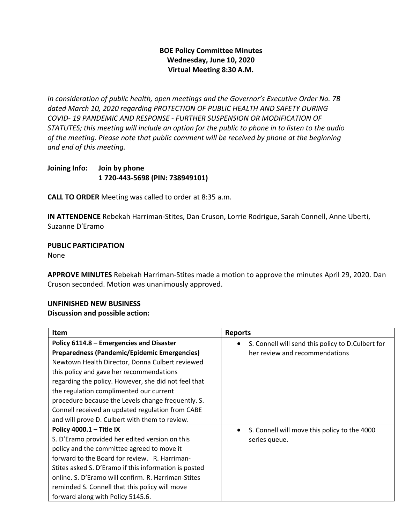## **BOE Policy Committee Minutes Wednesday, June 10, 2020 Virtual Meeting 8:30 A.M.**

*In consideration of public health, open meetings and the Governor's Executive Order No. 7B dated March 10, 2020 regarding PROTECTION OF PUBLIC HEALTH AND SAFETY DURING COVID- 19 PANDEMIC AND RESPONSE - FURTHER SUSPENSION OR MODIFICATION OF STATUTES; this meeting will include an option for the public to phone in to listen to the audio of the meeting. Please note that public comment will be received by phone at the beginning and end of this meeting.*

**Joining Info: Join by phone 1 720-443-5698 (PIN: 738949101)**

**CALL TO ORDER** Meeting was called to order at 8:35 a.m.

**IN ATTENDENCE** Rebekah Harriman-Stites, Dan Cruson, Lorrie Rodrigue, Sarah Connell, Anne Uberti, Suzanne D'Eramo

**PUBLIC PARTICIPATION** 

None

**APPROVE MINUTES** Rebekah Harriman-Stites made a motion to approve the minutes April 29, 2020. Dan Cruson seconded. Motion was unanimously approved.

## **UNFINISHED NEW BUSINESS**

### **Discussion and possible action:**

| <b>Item</b>                                                                                                                                                                                                                                                                                                                                                                                                                        | <b>Reports</b>                                                                      |
|------------------------------------------------------------------------------------------------------------------------------------------------------------------------------------------------------------------------------------------------------------------------------------------------------------------------------------------------------------------------------------------------------------------------------------|-------------------------------------------------------------------------------------|
| Policy 6114.8 - Emergencies and Disaster<br><b>Preparedness (Pandemic/Epidemic Emergencies)</b><br>Newtown Health Director, Donna Culbert reviewed<br>this policy and gave her recommendations<br>regarding the policy. However, she did not feel that<br>the regulation complimented our current<br>procedure because the Levels change frequently. S.<br>Connell received an updated regulation from CABE                        | S. Connell will send this policy to D.Culbert for<br>her review and recommendations |
| and will prove D. Culbert with them to review.<br>Policy 4000.1 - Title IX<br>S. D'Eramo provided her edited version on this<br>policy and the committee agreed to move it<br>forward to the Board for review. R. Harriman-<br>Stites asked S. D'Eramo if this information is posted<br>online. S. D'Eramo will confirm. R. Harriman-Stites<br>reminded S. Connell that this policy will move<br>forward along with Policy 5145.6. | S. Connell will move this policy to the 4000<br>$\bullet$<br>series queue.          |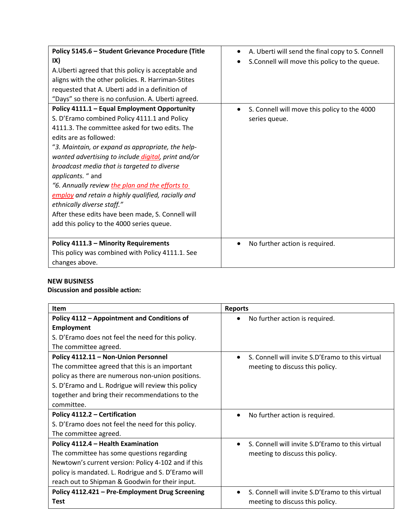| Policy 5145.6 - Student Grievance Procedure (Title<br>IX)<br>A. Uberti agreed that this policy is acceptable and<br>aligns with the other policies. R. Harriman-Stites<br>requested that A. Uberti add in a definition of<br>"Days" so there is no confusion. A. Uberti agreed.<br>Policy 4111.1 - Equal Employment Opportunity                                                                                                                                                                                                                   | A. Uberti will send the final copy to S. Connell<br>$\bullet$<br>S.Connell will move this policy to the queue.<br>S. Connell will move this policy to the 4000 |
|---------------------------------------------------------------------------------------------------------------------------------------------------------------------------------------------------------------------------------------------------------------------------------------------------------------------------------------------------------------------------------------------------------------------------------------------------------------------------------------------------------------------------------------------------|----------------------------------------------------------------------------------------------------------------------------------------------------------------|
| S. D'Eramo combined Policy 4111.1 and Policy<br>4111.3. The committee asked for two edits. The<br>edits are as followed:<br>"3. Maintain, or expand as appropriate, the help-<br>wanted advertising to include digital, print and/or<br>broadcast media that is targeted to diverse<br>applicants. " and<br>"6. Annually review the plan and the efforts to<br>employ and retain a highly qualified, racially and<br>ethnically diverse staff."<br>After these edits have been made, S. Connell will<br>add this policy to the 4000 series queue. | series queue.                                                                                                                                                  |
| Policy 4111.3 - Minority Requirements<br>This policy was combined with Policy 4111.1. See<br>changes above.                                                                                                                                                                                                                                                                                                                                                                                                                                       | No further action is required.                                                                                                                                 |

# **NEW BUSINESS**

## **Discussion and possible action:**

| <b>Item</b>                                         | <b>Reports</b>                                   |
|-----------------------------------------------------|--------------------------------------------------|
| Policy 4112 - Appointment and Conditions of         | No further action is required.                   |
| <b>Employment</b>                                   |                                                  |
| S. D'Eramo does not feel the need for this policy.  |                                                  |
| The committee agreed.                               |                                                  |
| Policy 4112.11 - Non-Union Personnel                | S. Connell will invite S.D'Eramo to this virtual |
| The committee agreed that this is an important      | meeting to discuss this policy.                  |
| policy as there are numerous non-union positions.   |                                                  |
| S. D'Eramo and L. Rodrigue will review this policy  |                                                  |
| together and bring their recommendations to the     |                                                  |
| committee.                                          |                                                  |
| Policy 4112.2 - Certification                       | No further action is required.<br>$\bullet$      |
| S. D'Eramo does not feel the need for this policy.  |                                                  |
| The committee agreed.                               |                                                  |
| Policy 4112.4 - Health Examination                  | S. Connell will invite S.D'Eramo to this virtual |
| The committee has some questions regarding          | meeting to discuss this policy.                  |
| Newtown's current version: Policy 4-102 and if this |                                                  |
| policy is mandated. L. Rodrigue and S. D'Eramo will |                                                  |
| reach out to Shipman & Goodwin for their input.     |                                                  |
| Policy 4112.421 - Pre-Employment Drug Screening     | S. Connell will invite S.D'Eramo to this virtual |
| Test                                                | meeting to discuss this policy.                  |